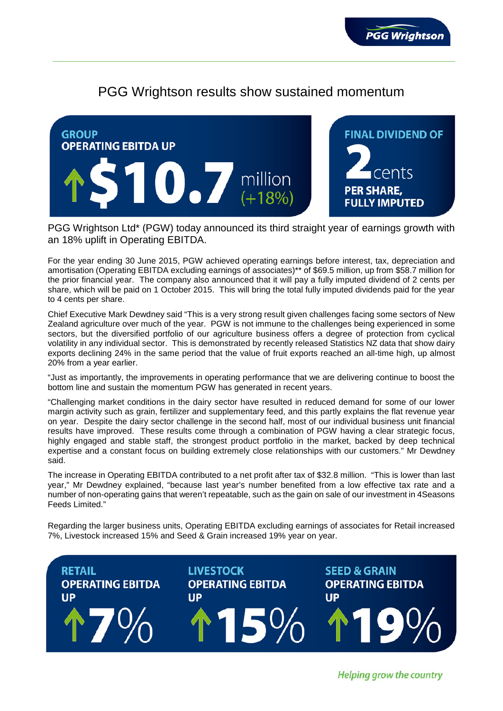

# PGG Wrightson results show sustained momentum



PGG Wrightson Ltd\* (PGW) today announced its third straight year of earnings growth with an 18% uplift in Operating EBITDA.

For the year ending 30 June 2015, PGW achieved operating earnings before interest, tax, depreciation and amortisation (Operating EBITDA excluding earnings of associates)\*\* of \$69.5 million, up from \$58.7 million for the prior financial year. The company also announced that it will pay a fully imputed dividend of 2 cents per share, which will be paid on 1 October 2015. This will bring the total fully imputed dividends paid for the year to 4 cents per share.

Chief Executive Mark Dewdney said "This is a very strong result given challenges facing some sectors of New Zealand agriculture over much of the year. PGW is not immune to the challenges being experienced in some sectors, but the diversified portfolio of our agriculture business offers a degree of protection from cyclical volatility in any individual sector. This is demonstrated by recently released Statistics NZ data that show dairy exports declining 24% in the same period that the value of fruit exports reached an all-time high, up almost 20% from a year earlier.

"Just as importantly, the improvements in operating performance that we are delivering continue to boost the bottom line and sustain the momentum PGW has generated in recent years.

"Challenging market conditions in the dairy sector have resulted in reduced demand for some of our lower margin activity such as grain, fertilizer and supplementary feed, and this partly explains the flat revenue year on year. Despite the dairy sector challenge in the second half, most of our individual business unit financial results have improved. These results come through a combination of PGW having a clear strategic focus, highly engaged and stable staff, the strongest product portfolio in the market, backed by deep technical expertise and a constant focus on building extremely close relationships with our customers." Mr Dewdney said.

The increase in Operating EBITDA contributed to a net profit after tax of \$32.8 million. "This is lower than last year," Mr Dewdney explained, "because last year's number benefited from a low effective tax rate and a number of non-operating gains that weren't repeatable, such as the gain on sale of our investment in 4Seasons Feeds Limited."

Regarding the larger business units, Operating EBITDA excluding earnings of associates for Retail increased 7%, Livestock increased 15% and Seed & Grain increased 19% year on year.



Helping grow the country